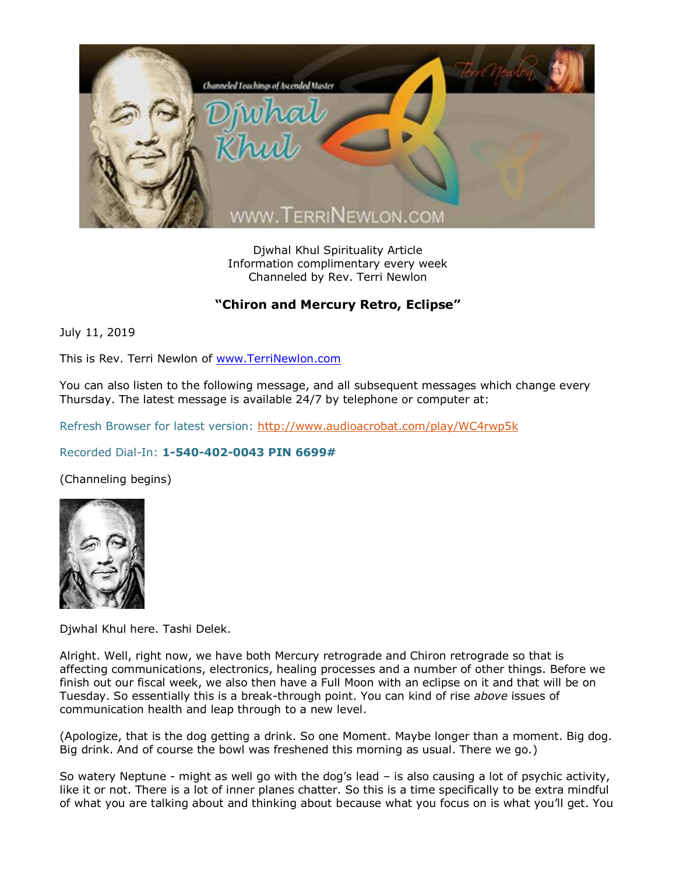

Djwhal Khul Spirituality Article Information complimentary every week Channeled by Rev. Terri Newlon

## **"Chiron and Mercury Retro, Eclipse"**

July 11, 2019

This is Rev. Terri Newlon of [www.TerriNewlon.com](http://www.terrinewlon.com/)

You can also listen to the following message, and all subsequent messages which change every Thursday. The latest message is available 24/7 by telephone or computer at:

Refresh Browser for latest version:<http://www.audioacrobat.com/play/WC4rwp5k>

## Recorded Dial-In: **1-540-402-0043 PIN 6699#**

(Channeling begins)



Djwhal Khul here. Tashi Delek.

Alright. Well, right now, we have both Mercury retrograde and Chiron retrograde so that is affecting communications, electronics, healing processes and a number of other things. Before we finish out our fiscal week, we also then have a Full Moon with an eclipse on it and that will be on Tuesday. So essentially this is a break-through point. You can kind of rise *above* issues of communication health and leap through to a new level.

(Apologize, that is the dog getting a drink. So one Moment. Maybe longer than a moment. Big dog. Big drink. And of course the bowl was freshened this morning as usual. There we go.)

So watery Neptune - might as well go with the dog's lead – is also causing a lot of psychic activity, like it or not. There is a lot of inner planes chatter. So this is a time specifically to be extra mindful of what you are talking about and thinking about because what you focus on is what you'll get. You